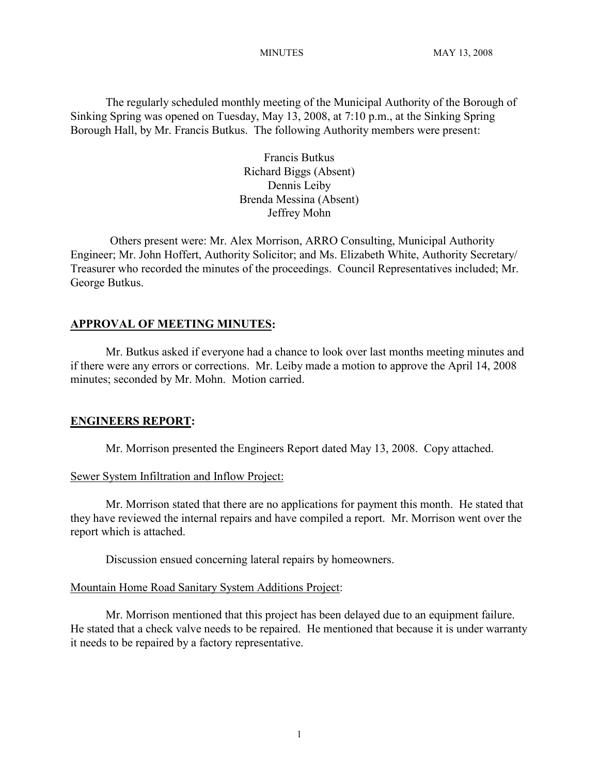The regularly scheduled monthly meeting of the Municipal Authority of the Borough of Sinking Spring was opened on Tuesday, May 13, 2008, at 7:10 p.m., at the Sinking Spring Borough Hall, by Mr. Francis Butkus. The following Authority members were present:

> Francis Butkus Richard Biggs (Absent) Dennis Leiby Brenda Messina (Absent) Jeffrey Mohn

Others present were: Mr. Alex Morrison, ARRO Consulting, Municipal Authority Engineer; Mr. John Hoffert, Authority Solicitor; and Ms. Elizabeth White, Authority Secretary/ Treasurer who recorded the minutes of the proceedings. Council Representatives included; Mr. George Butkus.

# **APPROVAL OF MEETING MINUTES:**

Mr. Butkus asked if everyone had a chance to look over last months meeting minutes and if there were any errors or corrections. Mr. Leiby made a motion to approve the April 14, 2008 minutes; seconded by Mr. Mohn. Motion carried.

#### **ENGINEERS REPORT:**

Mr. Morrison presented the Engineers Report dated May 13, 2008. Copy attached.

#### Sewer System Infiltration and Inflow Project:

Mr. Morrison stated that there are no applications for payment this month. He stated that they have reviewed the internal repairs and have compiled a report. Mr. Morrison went over the report which is attached.

Discussion ensued concerning lateral repairs by homeowners.

### Mountain Home Road Sanitary System Additions Project:

Mr. Morrison mentioned that this project has been delayed due to an equipment failure. He stated that a check valve needs to be repaired. He mentioned that because it is under warranty it needs to be repaired by a factory representative.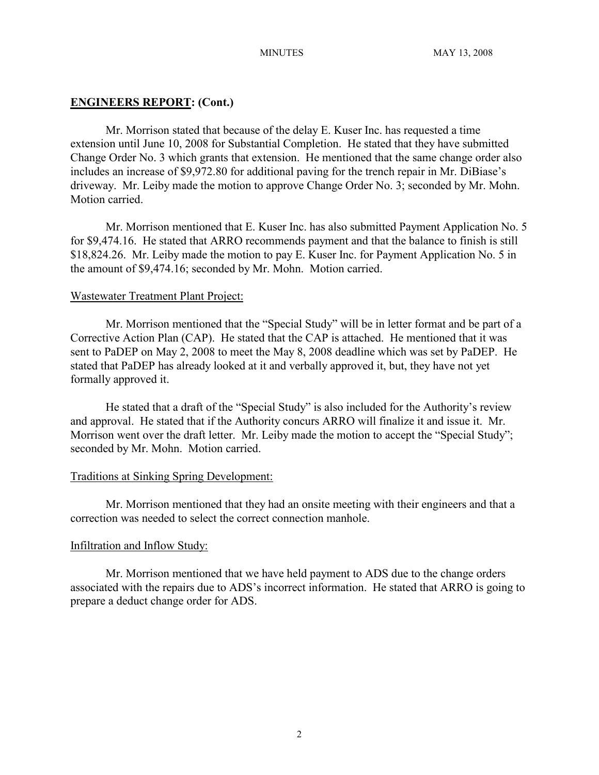### **ENGINEERS REPORT: (Cont.)**

Mr. Morrison stated that because of the delay E. Kuser Inc. has requested a time extension until June 10, 2008 for Substantial Completion. He stated that they have submitted Change Order No. 3 which grants that extension. He mentioned that the same change order also includes an increase of \$9,972.80 for additional paving for the trench repair in Mr. DiBiase's driveway. Mr. Leiby made the motion to approve Change Order No. 3; seconded by Mr. Mohn. Motion carried.

Mr. Morrison mentioned that E. Kuser Inc. has also submitted Payment Application No. 5 for \$9,474.16. He stated that ARRO recommends payment and that the balance to finish is still \$18,824.26. Mr. Leiby made the motion to pay E. Kuser Inc. for Payment Application No. 5 in the amount of \$9,474.16; seconded by Mr. Mohn. Motion carried.

# Wastewater Treatment Plant Project:

Mr. Morrison mentioned that the "Special Study" will be in letter format and be part of a Corrective Action Plan (CAP). He stated that the CAP is attached. He mentioned that it was sent to PaDEP on May 2, 2008 to meet the May 8, 2008 deadline which was set by PaDEP. He stated that PaDEP has already looked at it and verbally approved it, but, they have not yet formally approved it.

He stated that a draft of the "Special Study" is also included for the Authority's review and approval. He stated that if the Authority concurs ARRO will finalize it and issue it. Mr. Morrison went over the draft letter. Mr. Leiby made the motion to accept the "Special Study"; seconded by Mr. Mohn. Motion carried.

#### Traditions at Sinking Spring Development:

Mr. Morrison mentioned that they had an onsite meeting with their engineers and that a correction was needed to select the correct connection manhole.

#### Infiltration and Inflow Study:

Mr. Morrison mentioned that we have held payment to ADS due to the change orders associated with the repairs due to ADS's incorrect information. He stated that ARRO is going to prepare a deduct change order for ADS.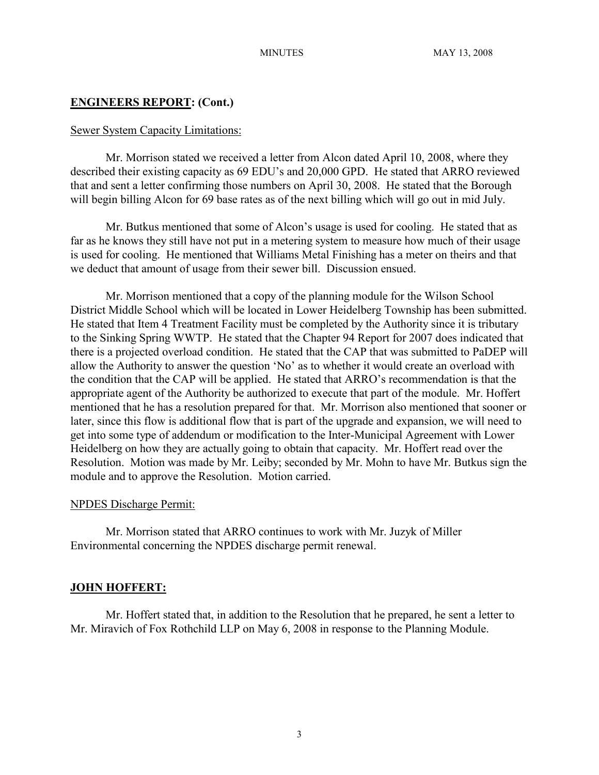# **ENGINEERS REPORT: (Cont.)**

### Sewer System Capacity Limitations:

Mr. Morrison stated we received a letter from Alcon dated April 10, 2008, where they described their existing capacity as 69 EDU's and 20,000 GPD. He stated that ARRO reviewed that and sent a letter confirming those numbers on April 30, 2008. He stated that the Borough will begin billing Alcon for 69 base rates as of the next billing which will go out in mid July.

Mr. Butkus mentioned that some of Alcon's usage is used for cooling. He stated that as far as he knows they still have not put in a metering system to measure how much of their usage is used for cooling. He mentioned that Williams Metal Finishing has a meter on theirs and that we deduct that amount of usage from their sewer bill. Discussion ensued.

Mr. Morrison mentioned that a copy of the planning module for the Wilson School District Middle School which will be located in Lower Heidelberg Township has been submitted. He stated that Item 4 Treatment Facility must be completed by the Authority since it is tributary to the Sinking Spring WWTP. He stated that the Chapter 94 Report for 2007 does indicated that there is a projected overload condition. He stated that the CAP that was submitted to PaDEP will allow the Authority to answer the question 'No' as to whether it would create an overload with the condition that the CAP will be applied. He stated that ARRO's recommendation is that the appropriate agent of the Authority be authorized to execute that part of the module. Mr. Hoffert mentioned that he has a resolution prepared for that. Mr. Morrison also mentioned that sooner or later, since this flow is additional flow that is part of the upgrade and expansion, we will need to get into some type of addendum or modification to the Inter-Municipal Agreement with Lower Heidelberg on how they are actually going to obtain that capacity. Mr. Hoffert read over the Resolution. Motion was made by Mr. Leiby; seconded by Mr. Mohn to have Mr. Butkus sign the module and to approve the Resolution. Motion carried.

# NPDES Discharge Permit:

Mr. Morrison stated that ARRO continues to work with Mr. Juzyk of Miller Environmental concerning the NPDES discharge permit renewal.

# **JOHN HOFFERT:**

Mr. Hoffert stated that, in addition to the Resolution that he prepared, he sent a letter to Mr. Miravich of Fox Rothchild LLP on May 6, 2008 in response to the Planning Module.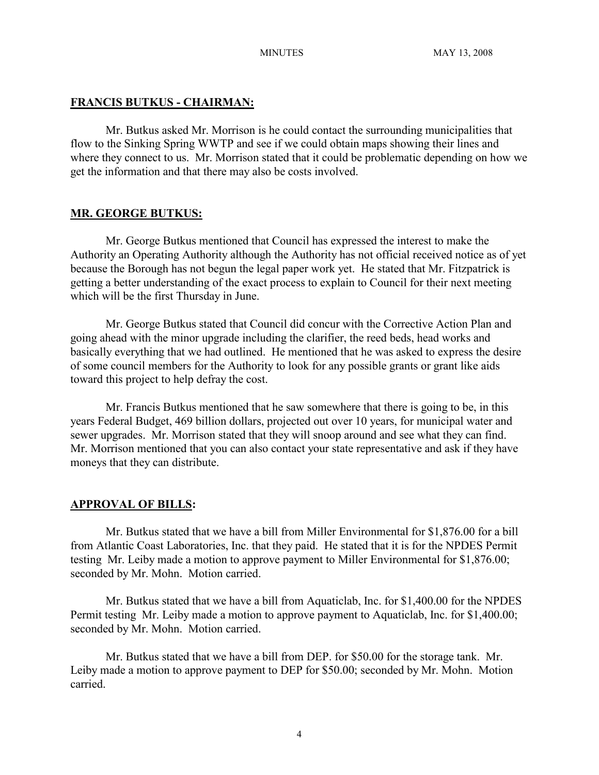# **FRANCIS BUTKUS - CHAIRMAN:**

Mr. Butkus asked Mr. Morrison is he could contact the surrounding municipalities that flow to the Sinking Spring WWTP and see if we could obtain maps showing their lines and where they connect to us. Mr. Morrison stated that it could be problematic depending on how we get the information and that there may also be costs involved.

# **MR. GEORGE BUTKUS:**

Mr. George Butkus mentioned that Council has expressed the interest to make the Authority an Operating Authority although the Authority has not official received notice as of yet because the Borough has not begun the legal paper work yet. He stated that Mr. Fitzpatrick is getting a better understanding of the exact process to explain to Council for their next meeting which will be the first Thursday in June.

Mr. George Butkus stated that Council did concur with the Corrective Action Plan and going ahead with the minor upgrade including the clarifier, the reed beds, head works and basically everything that we had outlined. He mentioned that he was asked to express the desire of some council members for the Authority to look for any possible grants or grant like aids toward this project to help defray the cost.

Mr. Francis Butkus mentioned that he saw somewhere that there is going to be, in this years Federal Budget, 469 billion dollars, projected out over 10 years, for municipal water and sewer upgrades. Mr. Morrison stated that they will snoop around and see what they can find. Mr. Morrison mentioned that you can also contact your state representative and ask if they have moneys that they can distribute.

# **APPROVAL OF BILLS:**

Mr. Butkus stated that we have a bill from Miller Environmental for \$1,876.00 for a bill from Atlantic Coast Laboratories, Inc. that they paid. He stated that it is for the NPDES Permit testing Mr. Leiby made a motion to approve payment to Miller Environmental for \$1,876.00; seconded by Mr. Mohn. Motion carried.

Mr. Butkus stated that we have a bill from Aquaticlab, Inc. for \$1,400.00 for the NPDES Permit testing Mr. Leiby made a motion to approve payment to Aquaticlab, Inc. for \$1,400.00; seconded by Mr. Mohn. Motion carried.

Mr. Butkus stated that we have a bill from DEP. for \$50.00 for the storage tank. Mr. Leiby made a motion to approve payment to DEP for \$50.00; seconded by Mr. Mohn. Motion carried.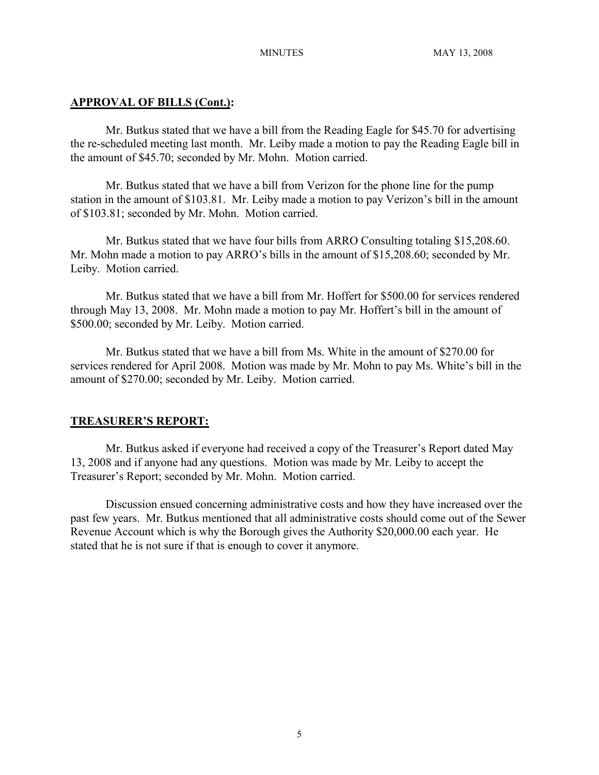# **APPROVAL OF BILLS (Cont.):**

Mr. Butkus stated that we have a bill from the Reading Eagle for \$45.70 for advertising the re-scheduled meeting last month. Mr. Leiby made a motion to pay the Reading Eagle bill in the amount of \$45.70; seconded by Mr. Mohn. Motion carried.

Mr. Butkus stated that we have a bill from Verizon for the phone line for the pump station in the amount of \$103.81. Mr. Leiby made a motion to pay Verizon's bill in the amount of \$103.81; seconded by Mr. Mohn. Motion carried.

Mr. Butkus stated that we have four bills from ARRO Consulting totaling \$15,208.60. Mr. Mohn made a motion to pay ARRO's bills in the amount of \$15,208.60; seconded by Mr. Leiby. Motion carried.

Mr. Butkus stated that we have a bill from Mr. Hoffert for \$500.00 for services rendered through May 13, 2008. Mr. Mohn made a motion to pay Mr. Hoffert's bill in the amount of \$500.00; seconded by Mr. Leiby. Motion carried.

Mr. Butkus stated that we have a bill from Ms. White in the amount of \$270.00 for services rendered for April 2008. Motion was made by Mr. Mohn to pay Ms. White's bill in the amount of \$270.00; seconded by Mr. Leiby. Motion carried.

# **TREASURER'S REPORT:**

Mr. Butkus asked if everyone had received a copy of the Treasurer's Report dated May 13, 2008 and if anyone had any questions. Motion was made by Mr. Leiby to accept the Treasurer's Report; seconded by Mr. Mohn. Motion carried.

Discussion ensued concerning administrative costs and how they have increased over the past few years. Mr. Butkus mentioned that all administrative costs should come out of the Sewer Revenue Account which is why the Borough gives the Authority \$20,000.00 each year. He stated that he is not sure if that is enough to cover it anymore.